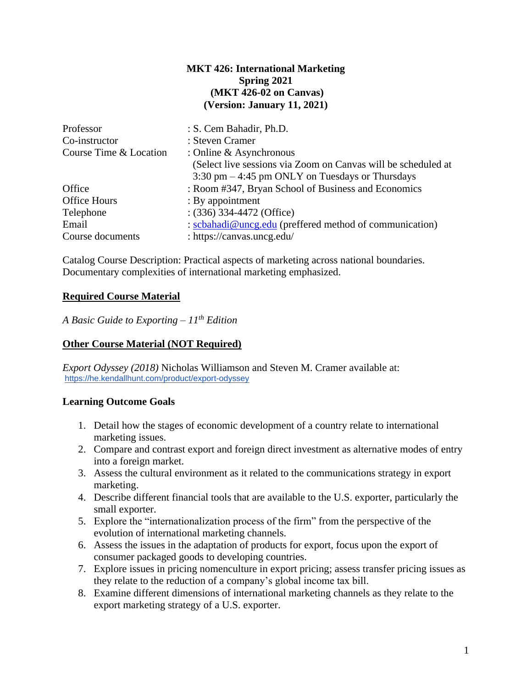## **MKT 426: International Marketing Spring 2021 (MKT 426-02 on Canvas) (Version: January 11, 2021)**

| Professor              | : S. Cem Bahadir, Ph.D.                                           |
|------------------------|-------------------------------------------------------------------|
| Co-instructor          | : Steven Cramer                                                   |
| Course Time & Location | : Online $&$ Asynchronous                                         |
|                        | (Select live sessions via Zoom on Canvas will be scheduled at     |
|                        | $3:30 \text{ pm} - 4:45 \text{ pm}$ ONLY on Tuesdays or Thursdays |
| Office                 | : Room #347, Bryan School of Business and Economics               |
| <b>Office Hours</b>    | : By appointment                                                  |
| Telephone              | $(336)$ 334-4472 (Office)                                         |
| Email                  | : scbahadi@uncg.edu (preffered method of communication)           |
| Course documents       | : https://canvas.uncg.edu/                                        |

Catalog Course Description: Practical aspects of marketing across national boundaries. Documentary complexities of international marketing emphasized.

# **Required Course Material**

*A Basic Guide to Exporting – 11th Edition*

# **Other Course Material (NOT Required)**

*Export Odyssey (2018)* Nicholas Williamson and Steven M. Cramer available at: <https://he.kendallhunt.com/product/export-odyssey>

#### **Learning Outcome Goals**

- 1. Detail how the stages of economic development of a country relate to international marketing issues.
- 2. Compare and contrast export and foreign direct investment as alternative modes of entry into a foreign market.
- 3. Assess the cultural environment as it related to the communications strategy in export marketing.
- 4. Describe different financial tools that are available to the U.S. exporter, particularly the small exporter.
- 5. Explore the "internationalization process of the firm" from the perspective of the evolution of international marketing channels.
- 6. Assess the issues in the adaptation of products for export, focus upon the export of consumer packaged goods to developing countries.
- 7. Explore issues in pricing nomenculture in export pricing; assess transfer pricing issues as they relate to the reduction of a company's global income tax bill.
- 8. Examine different dimensions of international marketing channels as they relate to the export marketing strategy of a U.S. exporter.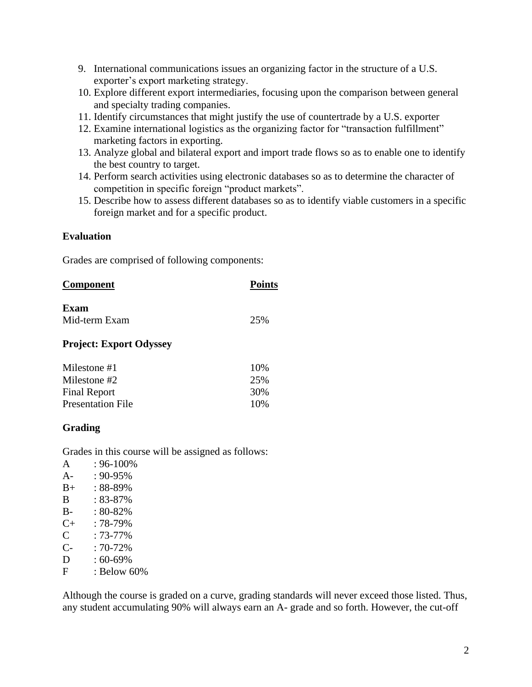- 9. International communications issues an organizing factor in the structure of a U.S. exporter's export marketing strategy.
- 10. Explore different export intermediaries, focusing upon the comparison between general and specialty trading companies.
- 11. Identify circumstances that might justify the use of countertrade by a U.S. exporter
- 12. Examine international logistics as the organizing factor for "transaction fulfillment" marketing factors in exporting.
- 13. Analyze global and bilateral export and import trade flows so as to enable one to identify the best country to target.
- 14. Perform search activities using electronic databases so as to determine the character of competition in specific foreign "product markets".
- 15. Describe how to assess different databases so as to identify viable customers in a specific foreign market and for a specific product.

## **Evaluation**

Grades are comprised of following components:

| <b>Component</b> | <b>Points</b> |  |
|------------------|---------------|--|
| Exam             |               |  |
| Mid-term Exam    | 25%           |  |

#### **Project: Export Odyssey**

| Milestone #1             | 10% |
|--------------------------|-----|
| Milestone #2             | 25% |
| <b>Final Report</b>      | 30% |
| <b>Presentation File</b> | 10% |

# **Grading**

Grades in this course will be assigned as follows:

 $A : 96-100\%$ A-  $: 90-95\%$ B+ : 88-89% B : 83-87% B- : 80-82% C+ : 78-79%  $C : 73-77\%$  $C-$  : 70-72%  $D : 60-69\%$ F : Below 60%

Although the course is graded on a curve, grading standards will never exceed those listed. Thus, any student accumulating 90% will always earn an A- grade and so forth. However, the cut-off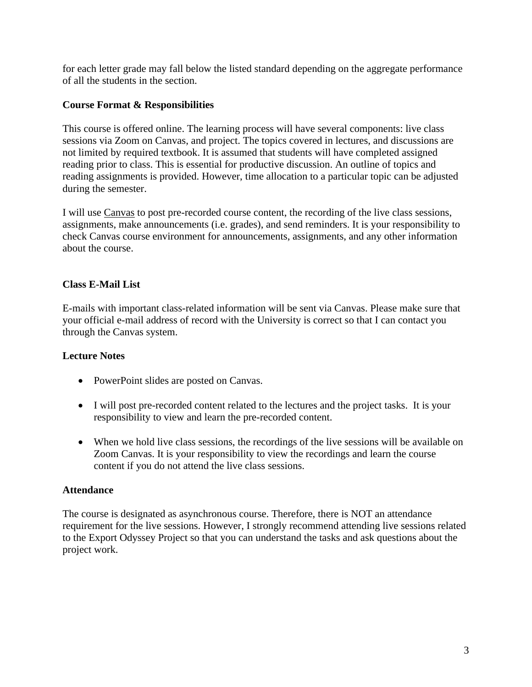for each letter grade may fall below the listed standard depending on the aggregate performance of all the students in the section.

# **Course Format & Responsibilities**

This course is offered online. The learning process will have several components: live class sessions via Zoom on Canvas, and project. The topics covered in lectures, and discussions are not limited by required textbook. It is assumed that students will have completed assigned reading prior to class. This is essential for productive discussion. An outline of topics and reading assignments is provided. However, time allocation to a particular topic can be adjusted during the semester.

I will use Canvas to post pre-recorded course content, the recording of the live class sessions, assignments, make announcements (i.e. grades), and send reminders. It is your responsibility to check Canvas course environment for announcements, assignments, and any other information about the course.

# **Class E-Mail List**

E-mails with important class-related information will be sent via Canvas. Please make sure that your official e-mail address of record with the University is correct so that I can contact you through the Canvas system.

# **Lecture Notes**

- PowerPoint slides are posted on Canvas.
- I will post pre-recorded content related to the lectures and the project tasks. It is your responsibility to view and learn the pre-recorded content.
- When we hold live class sessions, the recordings of the live sessions will be available on Zoom Canvas. It is your responsibility to view the recordings and learn the course content if you do not attend the live class sessions.

# **Attendance**

The course is designated as asynchronous course. Therefore, there is NOT an attendance requirement for the live sessions. However, I strongly recommend attending live sessions related to the Export Odyssey Project so that you can understand the tasks and ask questions about the project work.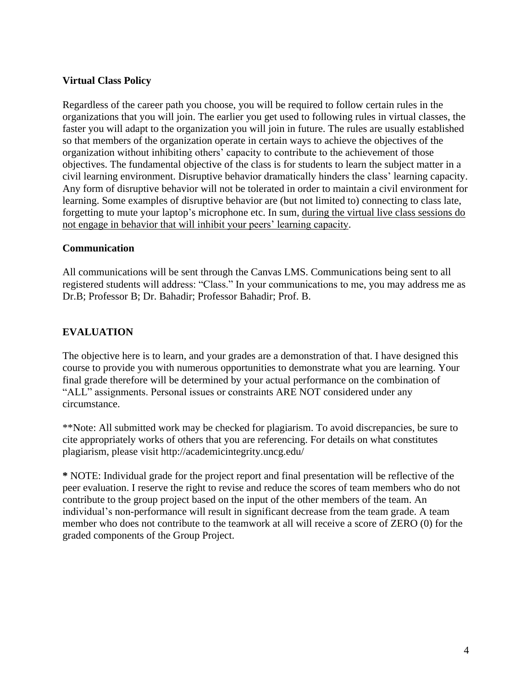# **Virtual Class Policy**

Regardless of the career path you choose, you will be required to follow certain rules in the organizations that you will join. The earlier you get used to following rules in virtual classes, the faster you will adapt to the organization you will join in future. The rules are usually established so that members of the organization operate in certain ways to achieve the objectives of the organization without inhibiting others' capacity to contribute to the achievement of those objectives. The fundamental objective of the class is for students to learn the subject matter in a civil learning environment. Disruptive behavior dramatically hinders the class' learning capacity. Any form of disruptive behavior will not be tolerated in order to maintain a civil environment for learning. Some examples of disruptive behavior are (but not limited to) connecting to class late, forgetting to mute your laptop's microphone etc. In sum, during the virtual live class sessions do not engage in behavior that will inhibit your peers' learning capacity.

#### **Communication**

All communications will be sent through the Canvas LMS. Communications being sent to all registered students will address: "Class." In your communications to me, you may address me as Dr.B; Professor B; Dr. Bahadir; Professor Bahadir; Prof. B.

# **EVALUATION**

The objective here is to learn, and your grades are a demonstration of that. I have designed this course to provide you with numerous opportunities to demonstrate what you are learning. Your final grade therefore will be determined by your actual performance on the combination of "ALL" assignments. Personal issues or constraints ARE NOT considered under any circumstance.

\*\*Note: All submitted work may be checked for plagiarism. To avoid discrepancies, be sure to cite appropriately works of others that you are referencing. For details on what constitutes plagiarism, please visit http://academicintegrity.uncg.edu/

**\*** NOTE: Individual grade for the project report and final presentation will be reflective of the peer evaluation. I reserve the right to revise and reduce the scores of team members who do not contribute to the group project based on the input of the other members of the team. An individual's non-performance will result in significant decrease from the team grade. A team member who does not contribute to the teamwork at all will receive a score of ZERO (0) for the graded components of the Group Project.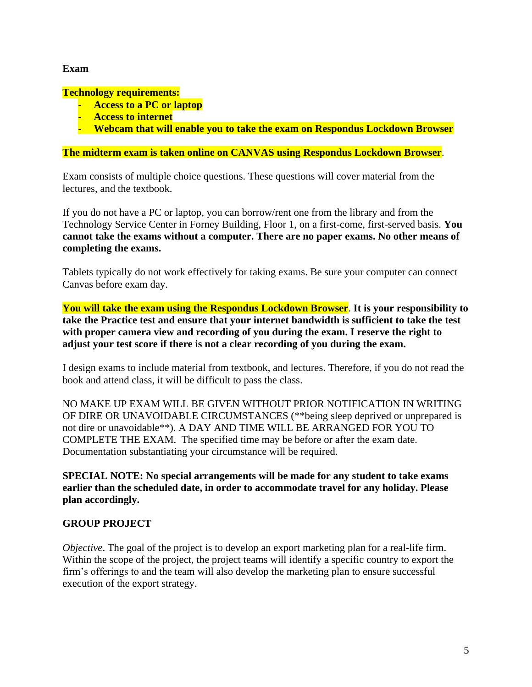## **Exam**

#### **Technology requirements:**

- **Access to a PC or laptop**
- **Access to internet**
- **Webcam that will enable you to take the exam on Respondus Lockdown Browser**

## **The midterm exam is taken online on CANVAS using Respondus Lockdown Browser**.

Exam consists of multiple choice questions. These questions will cover material from the lectures, and the textbook.

If you do not have a PC or laptop, you can borrow/rent one from the library and from the Technology Service Center in Forney Building, Floor 1, on a first-come, first-served basis. **You cannot take the exams without a computer. There are no paper exams. No other means of completing the exams.**

Tablets typically do not work effectively for taking exams. Be sure your computer can connect Canvas before exam day.

**You will take the exam using the Respondus Lockdown Browser**. **It is your responsibility to take the Practice test and ensure that your internet bandwidth is sufficient to take the test with proper camera view and recording of you during the exam. I reserve the right to adjust your test score if there is not a clear recording of you during the exam.**

I design exams to include material from textbook, and lectures. Therefore, if you do not read the book and attend class, it will be difficult to pass the class.

NO MAKE UP EXAM WILL BE GIVEN WITHOUT PRIOR NOTIFICATION IN WRITING OF DIRE OR UNAVOIDABLE CIRCUMSTANCES (\*\*being sleep deprived or unprepared is not dire or unavoidable\*\*). A DAY AND TIME WILL BE ARRANGED FOR YOU TO COMPLETE THE EXAM. The specified time may be before or after the exam date. Documentation substantiating your circumstance will be required.

**SPECIAL NOTE: No special arrangements will be made for any student to take exams earlier than the scheduled date, in order to accommodate travel for any holiday. Please plan accordingly.** 

# **GROUP PROJECT**

*Objective*. The goal of the project is to develop an export marketing plan for a real-life firm. Within the scope of the project, the project teams will identify a specific country to export the firm's offerings to and the team will also develop the marketing plan to ensure successful execution of the export strategy.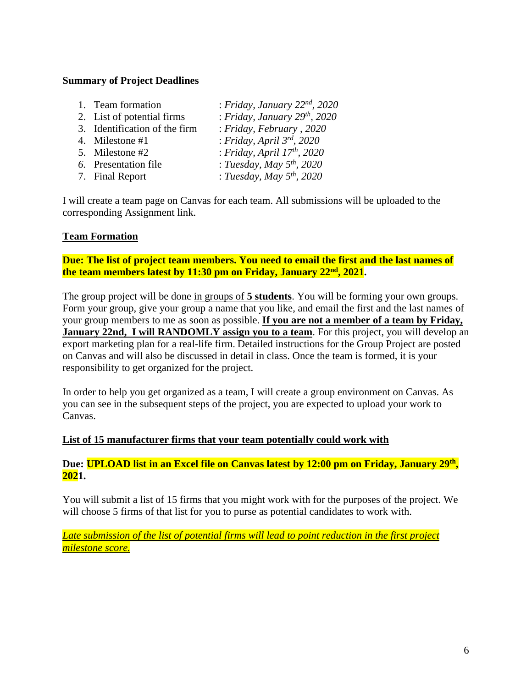## **Summary of Project Deadlines**

| 1. Team formation             | : Friday, January $22^{nd}$ , $2020$ |
|-------------------------------|--------------------------------------|
| 2. List of potential firms    | : Friday, January $29^{th}$ , $2020$ |
| 3. Identification of the firm | : Friday, February, 2020             |
| 4. Milestone #1               | : Friday, April 3rd, 2020            |
| 5. Milestone #2               | : Friday, April $17th$ , 2020        |
| 6. Presentation file          | : Tuesday, May $5th$ , 2020          |
| 7. Final Report               | : Tuesday, May $5^{th}$ , 2020       |
|                               |                                      |

I will create a team page on Canvas for each team. All submissions will be uploaded to the corresponding Assignment link.

## **Team Formation**

**Due: The list of project team members. You need to email the first and the last names of the team members latest by 11:30 pm on Friday, January 22nd, 2021.**

The group project will be done in groups of **5 students**. You will be forming your own groups. Form your group, give your group a name that you like, and email the first and the last names of your group members to me as soon as possible. **If you are not a member of a team by Friday, January 22nd, I will RANDOMLY assign you to a team**. For this project, you will develop an export marketing plan for a real-life firm. Detailed instructions for the Group Project are posted on Canvas and will also be discussed in detail in class. Once the team is formed, it is your responsibility to get organized for the project.

In order to help you get organized as a team, I will create a group environment on Canvas. As you can see in the subsequent steps of the project, you are expected to upload your work to Canvas.

#### **List of 15 manufacturer firms that your team potentially could work with**

**Due: UPLOAD list in an Excel file on Canvas latest by 12:00 pm on Friday, January 29 th , 2021.**

You will submit a list of 15 firms that you might work with for the purposes of the project. We will choose 5 firms of that list for you to purse as potential candidates to work with.

*Late submission of the list of potential firms will lead to point reduction in the first project milestone score.*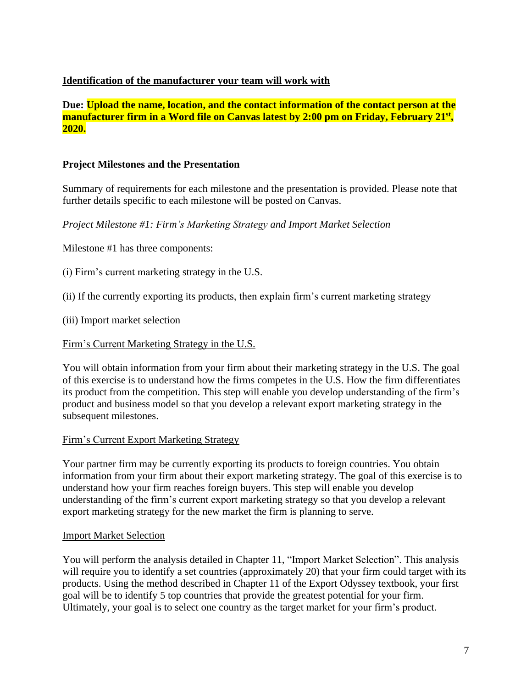# **Identification of the manufacturer your team will work with**

**Due: Upload the name, location, and the contact information of the contact person at the manufacturer firm in a Word file on Canvas latest by 2:00 pm on Friday, February 21 st , 2020.**

## **Project Milestones and the Presentation**

Summary of requirements for each milestone and the presentation is provided. Please note that further details specific to each milestone will be posted on Canvas.

*Project Milestone #1: Firm's Marketing Strategy and Import Market Selection*

Milestone #1 has three components:

(i) Firm's current marketing strategy in the U.S.

(ii) If the currently exporting its products, then explain firm's current marketing strategy

(iii) Import market selection

#### Firm's Current Marketing Strategy in the U.S.

You will obtain information from your firm about their marketing strategy in the U.S. The goal of this exercise is to understand how the firms competes in the U.S. How the firm differentiates its product from the competition. This step will enable you develop understanding of the firm's product and business model so that you develop a relevant export marketing strategy in the subsequent milestones.

#### Firm's Current Export Marketing Strategy

Your partner firm may be currently exporting its products to foreign countries. You obtain information from your firm about their export marketing strategy. The goal of this exercise is to understand how your firm reaches foreign buyers. This step will enable you develop understanding of the firm's current export marketing strategy so that you develop a relevant export marketing strategy for the new market the firm is planning to serve.

#### Import Market Selection

You will perform the analysis detailed in Chapter 11, "Import Market Selection". This analysis will require you to identify a set countries (approximately 20) that your firm could target with its products. Using the method described in Chapter 11 of the Export Odyssey textbook, your first goal will be to identify 5 top countries that provide the greatest potential for your firm. Ultimately, your goal is to select one country as the target market for your firm's product.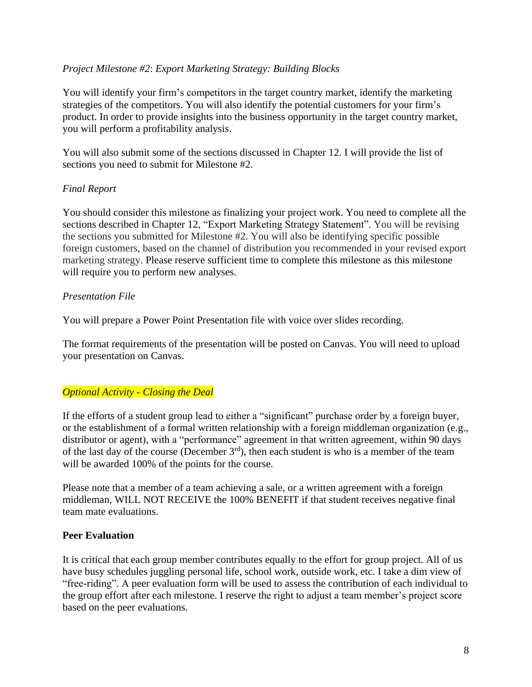## *Project Milestone #2*: *Export Marketing Strategy: Building Blocks*

You will identify your firm's competitors in the target country market, identify the marketing strategies of the competitors. You will also identify the potential customers for your firm's product. In order to provide insights into the business opportunity in the target country market, you will perform a profitability analysis.

You will also submit some of the sections discussed in Chapter 12. I will provide the list of sections you need to submit for Milestone #2.

## *Final Report*

You should consider this milestone as finalizing your project work. You need to complete all the sections described in Chapter 12, "Export Marketing Strategy Statement". You will be revising the sections you submitted for Milestone #2. You will also be identifying specific possible foreign customers, based on the channel of distribution you recommended in your revised export marketing strategy. Please reserve sufficient time to complete this milestone as this milestone will require you to perform new analyses.

## *Presentation File*

You will prepare a Power Point Presentation file with voice over slides recording.

The format requirements of the presentation will be posted on Canvas. You will need to upload your presentation on Canvas.

# *Optional Activity - Closing the Deal*

If the efforts of a student group lead to either a "significant" purchase order by a foreign buyer, or the establishment of a formal written relationship with a foreign middleman organization (e.g., distributor or agent), with a "performance" agreement in that written agreement, within 90 days of the last day of the course (December  $3<sup>rd</sup>$ ), then each student is who is a member of the team will be awarded 100% of the points for the course.

Please note that a member of a team achieving a sale, or a written agreement with a foreign middleman, WILL NOT RECEIVE the 100% BENEFIT if that student receives negative final team mate evaluations.

#### **Peer Evaluation**

It is critical that each group member contributes equally to the effort for group project. All of us have busy schedules juggling personal life, school work, outside work, etc. I take a dim view of "free-riding". A peer evaluation form will be used to assess the contribution of each individual to the group effort after each milestone. I reserve the right to adjust a team member's project score based on the peer evaluations.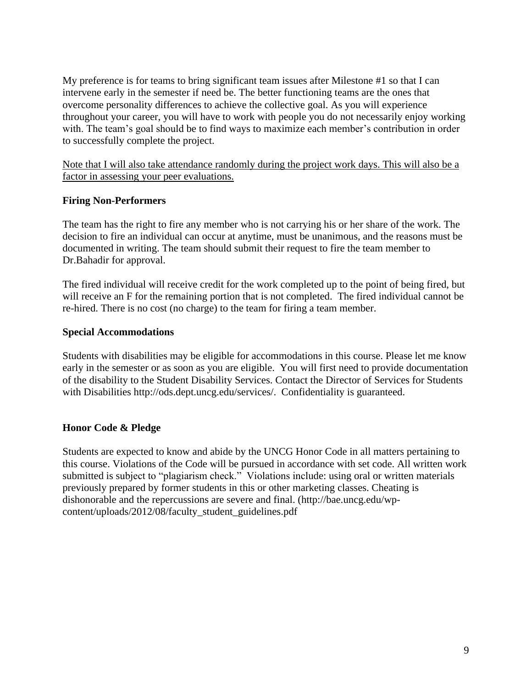My preference is for teams to bring significant team issues after Milestone #1 so that I can intervene early in the semester if need be. The better functioning teams are the ones that overcome personality differences to achieve the collective goal. As you will experience throughout your career, you will have to work with people you do not necessarily enjoy working with. The team's goal should be to find ways to maximize each member's contribution in order to successfully complete the project.

Note that I will also take attendance randomly during the project work days. This will also be a factor in assessing your peer evaluations.

# **Firing Non-Performers**

The team has the right to fire any member who is not carrying his or her share of the work. The decision to fire an individual can occur at anytime, must be unanimous, and the reasons must be documented in writing. The team should submit their request to fire the team member to Dr.Bahadir for approval.

The fired individual will receive credit for the work completed up to the point of being fired, but will receive an F for the remaining portion that is not completed. The fired individual cannot be re-hired. There is no cost (no charge) to the team for firing a team member.

## **Special Accommodations**

Students with disabilities may be eligible for accommodations in this course. Please let me know early in the semester or as soon as you are eligible. You will first need to provide documentation of the disability to the Student Disability Services. Contact the Director of Services for Students with Disabilities http://ods.dept.uncg.edu/services/. Confidentiality is guaranteed.

# **Honor Code & Pledge**

Students are expected to know and abide by the UNCG Honor Code in all matters pertaining to this course. Violations of the Code will be pursued in accordance with set code. All written work submitted is subject to "plagiarism check." Violations include: using oral or written materials previously prepared by former students in this or other marketing classes. Cheating is dishonorable and the repercussions are severe and final. (http://bae.uncg.edu/wpcontent/uploads/2012/08/faculty\_student\_guidelines.pdf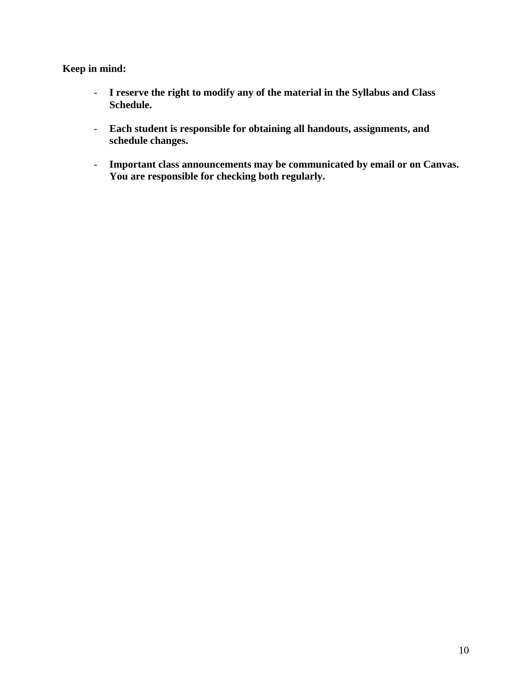# **Keep in mind:**

- **I reserve the right to modify any of the material in the Syllabus and Class Schedule.**
- **Each student is responsible for obtaining all handouts, assignments, and schedule changes.**
- **Important class announcements may be communicated by email or on Canvas. You are responsible for checking both regularly.**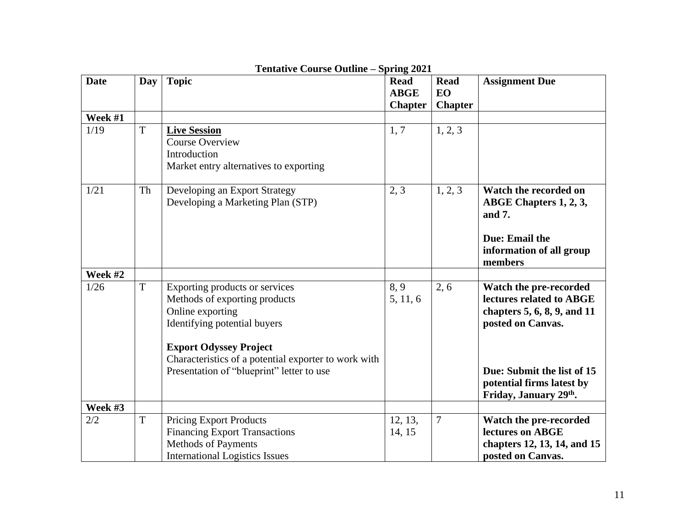| <b>Date</b> | Day | <b>Topic</b>                                         | <b>Read</b>    | <b>Read</b>    | <b>Assignment Due</b>       |
|-------------|-----|------------------------------------------------------|----------------|----------------|-----------------------------|
|             |     |                                                      | <b>ABGE</b>    | <b>EO</b>      |                             |
|             |     |                                                      | <b>Chapter</b> | <b>Chapter</b> |                             |
| Week #1     |     |                                                      |                |                |                             |
| 1/19        | T   | <b>Live Session</b>                                  | 1, 7           | 1, 2, 3        |                             |
|             |     | <b>Course Overview</b>                               |                |                |                             |
|             |     | Introduction                                         |                |                |                             |
|             |     | Market entry alternatives to exporting               |                |                |                             |
|             |     |                                                      |                |                |                             |
| 1/21        | Th  | Developing an Export Strategy                        | 2, 3           | 1, 2, 3        | Watch the recorded on       |
|             |     | Developing a Marketing Plan (STP)                    |                |                | ABGE Chapters 1, 2, 3,      |
|             |     |                                                      |                |                | and 7.                      |
|             |     |                                                      |                |                |                             |
|             |     |                                                      |                |                | Due: Email the              |
|             |     |                                                      |                |                | information of all group    |
|             |     |                                                      |                |                | members                     |
| Week #2     |     |                                                      |                |                |                             |
| 1/26        | T   | Exporting products or services                       | 8,9            | 2, 6           | Watch the pre-recorded      |
|             |     | Methods of exporting products                        | 5, 11, 6       |                | lectures related to ABGE    |
|             |     | Online exporting                                     |                |                | chapters 5, 6, 8, 9, and 11 |
|             |     | Identifying potential buyers                         |                |                | posted on Canvas.           |
|             |     |                                                      |                |                |                             |
|             |     | <b>Export Odyssey Project</b>                        |                |                |                             |
|             |     | Characteristics of a potential exporter to work with |                |                |                             |
|             |     | Presentation of "blueprint" letter to use            |                |                | Due: Submit the list of 15  |
|             |     |                                                      |                |                | potential firms latest by   |
|             |     |                                                      |                |                | Friday, January 29th.       |
| Week #3     |     |                                                      |                |                |                             |
| 2/2         | T   | <b>Pricing Export Products</b>                       | 12, 13,        | $\overline{7}$ | Watch the pre-recorded      |
|             |     | <b>Financing Export Transactions</b>                 | 14, 15         |                | lectures on ABGE            |
|             |     | Methods of Payments                                  |                |                | chapters 12, 13, 14, and 15 |
|             |     | <b>International Logistics Issues</b>                |                |                | posted on Canvas.           |

# **Tentative Course Outline – Spring 2021**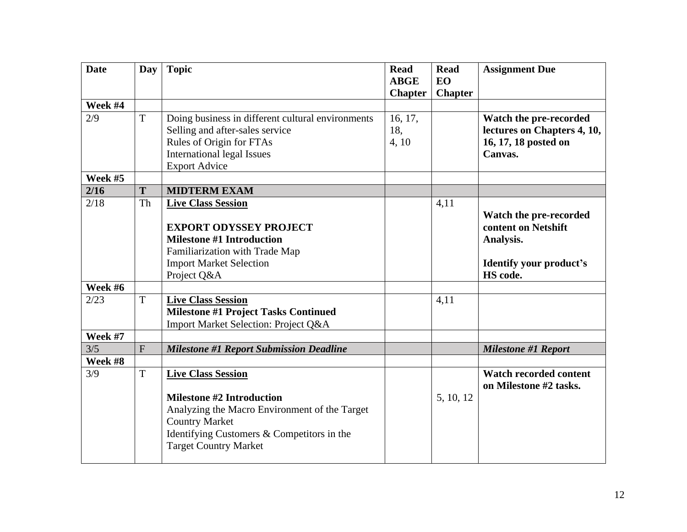| <b>Date</b> | Day | <b>Topic</b>                                      | <b>Read</b><br><b>ABGE</b> | <b>Read</b><br><b>EO</b> | <b>Assignment Due</b>                         |
|-------------|-----|---------------------------------------------------|----------------------------|--------------------------|-----------------------------------------------|
|             |     |                                                   | <b>Chapter</b>             | <b>Chapter</b>           |                                               |
| Week #4     |     |                                                   |                            |                          |                                               |
| 2/9         | T   | Doing business in different cultural environments | 16, 17,                    |                          | Watch the pre-recorded                        |
|             |     | Selling and after-sales service                   | 18,                        |                          | lectures on Chapters 4, 10,                   |
|             |     | Rules of Origin for FTAs                          | 4, 10                      |                          | 16, 17, 18 posted on                          |
|             |     | <b>International legal Issues</b>                 |                            |                          | Canvas.                                       |
|             |     | <b>Export Advice</b>                              |                            |                          |                                               |
| Week #5     |     |                                                   |                            |                          |                                               |
| 2/16        | T   | <b>MIDTERM EXAM</b>                               |                            |                          |                                               |
| 2/18        | Th  | <b>Live Class Session</b>                         |                            | 4,11                     |                                               |
|             |     | <b>EXPORT ODYSSEY PROJECT</b>                     |                            |                          | Watch the pre-recorded<br>content on Netshift |
|             |     | <b>Milestone #1 Introduction</b>                  |                            |                          | Analysis.                                     |
|             |     | Familiarization with Trade Map                    |                            |                          |                                               |
|             |     | <b>Import Market Selection</b>                    |                            |                          | <b>Identify your product's</b>                |
|             |     | Project Q&A                                       |                            |                          | HS code.                                      |
| Week #6     |     |                                                   |                            |                          |                                               |
| 2/23        | T   | <b>Live Class Session</b>                         |                            | 4,11                     |                                               |
|             |     | <b>Milestone #1 Project Tasks Continued</b>       |                            |                          |                                               |
|             |     | Import Market Selection: Project Q&A              |                            |                          |                                               |
| Week #7     |     |                                                   |                            |                          |                                               |
| 3/5         | F   | <b>Milestone #1 Report Submission Deadline</b>    |                            |                          | <b>Milestone #1 Report</b>                    |
| Week #8     |     |                                                   |                            |                          |                                               |
| 3/9         | T   | <b>Live Class Session</b>                         |                            |                          | <b>Watch recorded content</b>                 |
|             |     |                                                   |                            |                          | on Milestone #2 tasks.                        |
|             |     | <b>Milestone #2 Introduction</b>                  |                            | 5, 10, 12                |                                               |
|             |     | Analyzing the Macro Environment of the Target     |                            |                          |                                               |
|             |     | <b>Country Market</b>                             |                            |                          |                                               |
|             |     | Identifying Customers & Competitors in the        |                            |                          |                                               |
|             |     | <b>Target Country Market</b>                      |                            |                          |                                               |
|             |     |                                                   |                            |                          |                                               |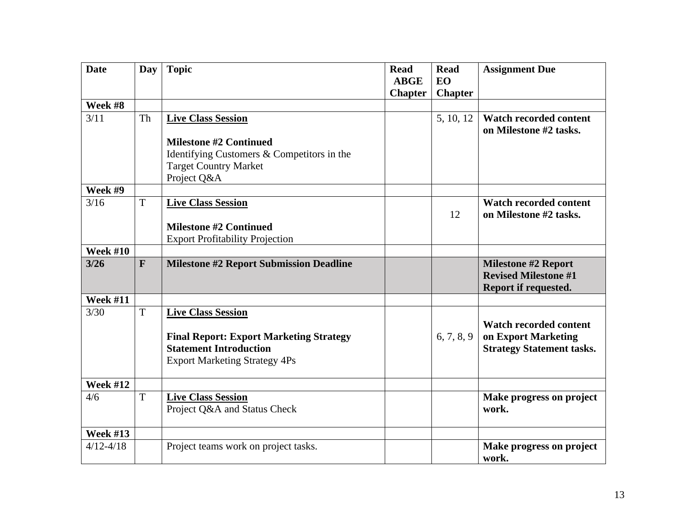| <b>Date</b>     | Day          | <b>Topic</b>                                                                                                            | <b>Read</b><br><b>ABGE</b> | <b>Read</b><br><b>EO</b> | <b>Assignment Due</b>                                                             |
|-----------------|--------------|-------------------------------------------------------------------------------------------------------------------------|----------------------------|--------------------------|-----------------------------------------------------------------------------------|
|                 |              |                                                                                                                         | <b>Chapter</b>             | <b>Chapter</b>           |                                                                                   |
| Week #8         |              |                                                                                                                         |                            |                          |                                                                                   |
| 3/11            | Th           | <b>Live Class Session</b><br><b>Milestone #2 Continued</b>                                                              |                            | 5, 10, 12                | <b>Watch recorded content</b><br>on Milestone #2 tasks.                           |
|                 |              |                                                                                                                         |                            |                          |                                                                                   |
|                 |              | Identifying Customers & Competitors in the                                                                              |                            |                          |                                                                                   |
|                 |              | <b>Target Country Market</b>                                                                                            |                            |                          |                                                                                   |
| Week #9         |              | Project Q&A                                                                                                             |                            |                          |                                                                                   |
|                 |              |                                                                                                                         |                            |                          |                                                                                   |
| 3/16            | T            | <b>Live Class Session</b>                                                                                               |                            |                          | <b>Watch recorded content</b>                                                     |
|                 |              |                                                                                                                         |                            | 12                       | on Milestone #2 tasks.                                                            |
|                 |              | <b>Milestone #2 Continued</b>                                                                                           |                            |                          |                                                                                   |
|                 |              | <b>Export Profitability Projection</b>                                                                                  |                            |                          |                                                                                   |
| <b>Week #10</b> |              |                                                                                                                         |                            |                          |                                                                                   |
| $3/26$          | $\mathbf{F}$ | <b>Milestone #2 Report Submission Deadline</b>                                                                          |                            |                          | <b>Milestone #2 Report</b><br><b>Revised Milestone #1</b><br>Report if requested. |
| <b>Week #11</b> |              |                                                                                                                         |                            |                          |                                                                                   |
| 3/30            | T            | <b>Live Class Session</b>                                                                                               |                            |                          | <b>Watch recorded content</b>                                                     |
|                 |              | <b>Final Report: Export Marketing Strategy</b><br><b>Statement Introduction</b><br><b>Export Marketing Strategy 4Ps</b> |                            | 6, 7, 8, 9               | on Export Marketing<br><b>Strategy Statement tasks.</b>                           |
| <b>Week #12</b> |              |                                                                                                                         |                            |                          |                                                                                   |
| 4/6             | T            | <b>Live Class Session</b><br>Project Q&A and Status Check                                                               |                            |                          | Make progress on project<br>work.                                                 |
| <b>Week #13</b> |              |                                                                                                                         |                            |                          |                                                                                   |
| $4/12 - 4/18$   |              | Project teams work on project tasks.                                                                                    |                            |                          | Make progress on project<br>work.                                                 |